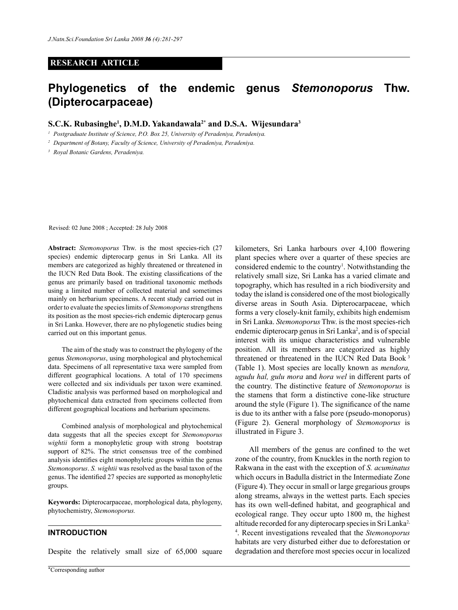### **RESEARCH ARTICLE**

# **Phylogenetics of the endemic genus** *Stemonoporus* **Thw. (Dipterocarpaceae)**

## **S.C.K. Rubasinghe1 , D.M.D. Yakandawala2\* and D.S.A. Wijesundara3**

*<sup>1</sup> Postgraduate Institute of Science, P.O. Box 25, University of Peradeniya, Peradeniya.*

*<sup>2</sup> Department of Botany, Faculty of Science, University of Peradeniya, Peradeniya.*

*<sup>3</sup> Royal Botanic Gardens, Peradeniya.*

Revised: 02 June 2008 ; Accepted: 28 July 2008

**Abstract:** *Stemonoporus* Thw. is the most species-rich (27 species) endemic dipterocarp genus in Sri Lanka. All its members are categorized as highly threatened or threatened in the IUCN Red Data Book. The existing classifications of the genus are primarily based on traditional taxonomic methods using a limited number of collected material and sometimes mainly on herbarium specimens. A recent study carried out in order to evaluate the species limits of *Stemonoporus* strengthens its position as the most species-rich endemic dipterocarp genus in Sri Lanka. However, there are no phylogenetic studies being carried out on this important genus.

The aim of the study was to construct the phylogeny of the genus *Stemonoporus*, using morphological and phytochemical data. Specimens of all representative taxa were sampled from different geographical locations. A total of 170 specimens were collected and six individuals per taxon were examined. Cladistic analysis was performed based on morphological and phytochemical data extracted from specimens collected from different geographical locations and herbarium specimens.

Combined analysis of morphological and phytochemical data suggests that all the species except for *Stemonoporus wightii* form a monophyletic group with strong bootstrap support of 82%. The strict consensus tree of the combined analysis identifies eight monophyletic groups within the genus *Stemonoporus*. *S. wightii* was resolved as the basal taxon of the genus. The identified 27 species are supported as monophyletic groups.

**Keywords:** Dipterocarpaceae, morphological data, phylogeny, phytochemistry, *Stemonoporus.*

### **INTRODUCTION**

Despite the relatively small size of 65,000 square

kilometers, Sri Lanka harbours over 4,100 flowering plant species where over a quarter of these species are considered endemic to the country<sup>1</sup>. Notwithstanding the relatively small size, Sri Lanka has a varied climate and topography, which has resulted in a rich biodiversity and today the island is considered one of the most biologically diverse areas in South Asia. Dipterocarpaceae, which forms a very closely-knit family, exhibits high endemism in Sri Lanka. *Stemonoporus* Thw. is the most species-rich endemic dipterocarp genus in Sri Lanka<sup>2</sup>, and is of special interest with its unique characteristics and vulnerable position. All its members are categorized as highly threatened or threatened in the IUCN Red Data Book 3 (Table 1). Most species are locally known as *mendora, ugudu hal, gulu mora* and *hora wel* in different parts of the country. The distinctive feature of *Stemonoporus* is the stamens that form a distinctive cone-like structure around the style (Figure 1). The significance of the name is due to its anther with a false pore (pseudo-monoporus) (Figure 2). General morphology of *Stemonoporus* is illustrated in Figure 3.

 All members of the genus are confined to the wet zone of the country, from Knuckles in the north region to Rakwana in the east with the exception of *S. acuminatus*  which occurs in Badulla district in the Intermediate Zone (Figure 4). They occur in small or large gregarious groups along streams, always in the wettest parts. Each species has its own well-defined habitat, and geographical and ecological range. They occur upto 1800 m, the highest altitude recorded for any dipterocarp species in Sri Lanka<sup>2,</sup> 4 . Recent investigations revealed that the *Stemonoporus* habitats are very disturbed either due to deforestation or degradation and therefore most species occur in localized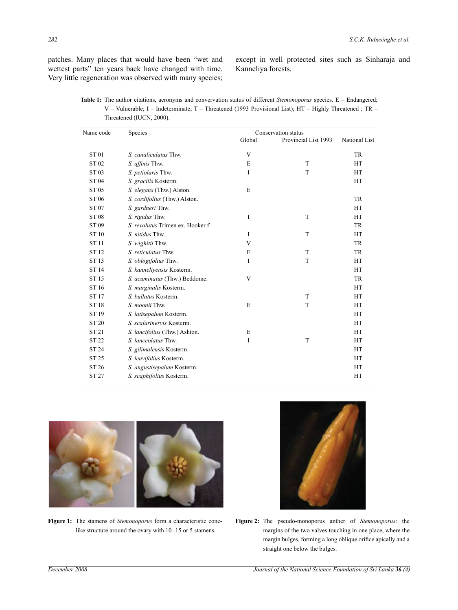patches. Many places that would have been "wet and wettest parts" ten years back have changed with time. Very little regeneration was observed with many species; except in well protected sites such as Sinharaja and Kanneliya forests.

**Table 1:** The author citations, acronyms and convervation status of different *Stemonoporus* species. E – Endangered; V – Vulnerable; I – Indeterminate; T – Threatened (1993 Provisional List); HT – Highly Threatened ; TR – Threatened (IUCN, 2000).

| Name code    | Species                           | Conservation status |                      |               |  |
|--------------|-----------------------------------|---------------------|----------------------|---------------|--|
|              |                                   | Global              | Provincial List 1993 | National List |  |
| <b>ST01</b>  | S. canaliculatus Thw.             | V                   |                      | <b>TR</b>     |  |
| ST 02        | S. affinis Thw.                   | E                   | T                    | HT            |  |
| ST 03        | S. petiolaris Thw.                | I                   | T                    | <b>HT</b>     |  |
| <b>ST04</b>  | S. gracilis Kosterm.              |                     |                      | HT            |  |
| ST 05        | S. elegans (Thw.) Alston.         | E                   |                      |               |  |
| ST 06        | S. cordifolius (Thw.) Alston.     |                     |                      | <b>TR</b>     |  |
| ST 07        | S. gardneri Thw.                  |                     |                      | HT            |  |
| <b>ST08</b>  | S. rigidus Thw.                   | I                   | T                    | HT            |  |
| ST 09        | S. revolutus Trimen ex. Hooker f. |                     |                      | <b>TR</b>     |  |
| ST 10        | S. nitidus Thw.                   | I                   | T                    | HT            |  |
| <b>ST11</b>  | S. wighitii Thw.                  | V                   |                      | <b>TR</b>     |  |
| ST 12        | S. reticulatus Thw.               | E                   | T                    | <b>TR</b>     |  |
| ST 13        | S. <i>oblogifolius</i> Thw.       | I                   | T                    | HT            |  |
| ST 14        | S. kanneliyensis Kosterm.         |                     |                      | HT            |  |
| ST 15        | S. acuminatus (Thw.) Beddome.     | V                   |                      | <b>TR</b>     |  |
| ST 16        | S. marginalis Kosterm.            |                     |                      | HT            |  |
| ST 17        | S. bullatus Kosterm.              |                     | T                    | HT            |  |
| ST 18        | S. moonii Thw.                    | E                   | T                    | <b>HT</b>     |  |
| ST 19        | S. latisepalum Kosterm.           |                     |                      | <b>HT</b>     |  |
| ST 20        | S. scalarinervis Kosterm.         |                     |                      | HT            |  |
| ST 21        | S. lancifolius (Thw.) Ashton.     | E                   |                      | HT            |  |
| <b>ST 22</b> | S. lanceolatus Thw.               | I                   | T                    | HT            |  |
| <b>ST 24</b> | S. gilimalensis Kosterm.          |                     |                      | <b>HT</b>     |  |
| ST 25        | S. leavifolius Kosterm.           |                     |                      | <b>HT</b>     |  |
| ST 26        | S. angustisepalum Kosterm.        |                     |                      | HT            |  |
| ST 27        | S. scaphifolius Kosterm.          |                     |                      | HT            |  |
|              |                                   |                     |                      |               |  |



**Figure 1:** The stamens of *Stemonoporus* form a characteristic conelike structure around the ovary with 10 -15 or 5 stamens.



**Figure 2:** The pseudo-monoporus anther of *Stemonoporus*: the margins of the two valves touching in one place, where the margin bulges, forming a long oblique orifice apically and a straight one below the bulges.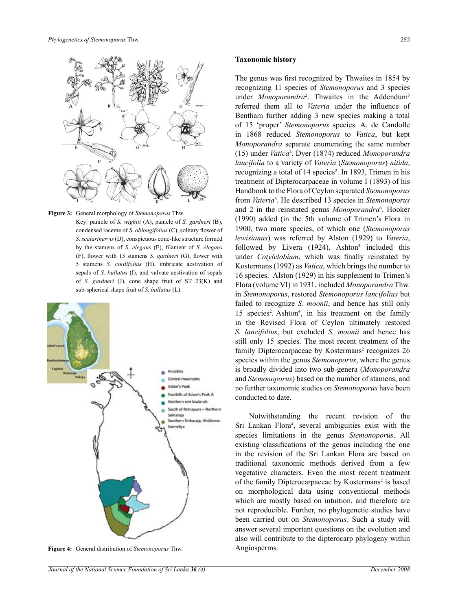

**Figure 3:** General morphology of *Stemonoporus* Thw.

Key: panicle of *S. wightii* (A), panicle of *S. gardneri* (B), condensed raceme of *S. oblongifolius* (C), solitary flower of *S. scalarinervis* (D), conspicuous cone-like structure formed by the stamens of *S. elegans* (E), filament of *S. elegans* (F), flower with 15 stamens *S. gardneri* (G), flower with 5 stamens *S. cordifolius* (H), imbricate aestivation of sepals of *S. bullatus* (I), and valvate aestivation of sepals of *S. gardneri* (J), cone shape fruit of ST 23(K) and sub-spherical shape fruit of *S. bullatus* (L).



**Figure 4:** General distribution of *Stemonoporus* Thw.

#### **Taxonomic history**

The genus was first recognized by Thwaites in 1854 by recognizing 11 species of *Stemonoporus* and 3 species under *Monoporandra*<sup>2</sup>. Thwaites in the Addendum<sup>5</sup> referred them all to *Vateria* under the influence of Bentham further adding 3 new species making a total of 15 'proper' *Stemonoporus* species. A. de Candolle in 1868 reduced *Stemonoporus* to *Vatica*, but kept *Monoporandra* separate enumerating the same number (15) under *Vatica*<sup>2</sup> . Dyer (1874) reduced *Monoporandra lancifolia* to a variety of *Vateria* (*Stemonoporus*) *nitida*, recognizing a total of 14 species<sup>2</sup>. In 1893, Trimen in his treatment of Dipterocarpaceae in volume I (1893) of his Handbook to the Flora of Ceylon separated *Stemonoporus*  from *Vateria*<sup>6</sup> . He described 13 species in *Stemonoporus*  and 2 in the reinstated genus *Monoporandra*<sup>6</sup> . Hooker (1990) added (in the 5th volume of Trimen's Flora in 1900, two more species, of which one (*Stemonoporus lewisianus*) was referred by Alston (1929) to *Vateria*, followed by Livera  $(1924)$ . Ashton<sup>4</sup> included this under *Cotylelobium*, which was finally reinstated by Kostermans (1992) as *Vatica*, which brings the number to 16 species. Alston (1929) in his supplement to Trimen's Flora (volume VI) in 1931, included *Monoporandra* Thw. in *Stemonoporus*, restored *Stemonoporus lancifolius* but failed to recognize *S. moonii*, and hence has still only 15 species<sup>2</sup>. Ashton<sup>4</sup>, in his treatment on the family in the Revised Flora of Ceylon ultimately restored *S. lancifolius*, but excluded *S. moonii* and hence has still only 15 species. The most recent treatment of the family Dipterocarpaceae by Kostermans<sup>2</sup> recognizes 26 species within the genus *Stemonoporus*, where the genus is broadly divided into two sub-genera (*Monoporandra* and *Stemonoporus*) based on the number of stamens, and no further taxonomic studies on *Stemonoporus* have been conducted to date.

Notwithstanding the recent revision of the Sri Lankan Flora<sup>4</sup>, several ambiguities exist with the species limitations in the genus *Stemonoporus*. All existing classifications of the genus including the one in the revision of the Sri Lankan Flora are based on traditional taxonomic methods derived from a few vegetative characters. Even the most recent treatment of the family Dipterocarpaceae by Kostermans<sup>2</sup> is based on morphological data using conventional methods which are mostly based on intuition, and therefore are not reproducible. Further, no phylogenetic studies have been carried out on *Stemonoporus.* Such a study will answer several important questions on the evolution and also will contribute to the dipterocarp phylogeny within Angiosperms.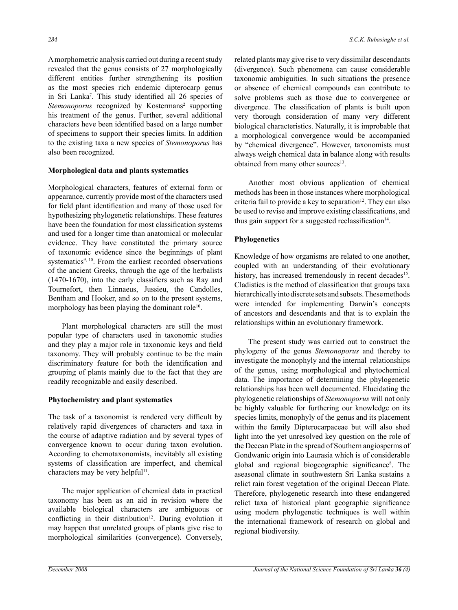A morphometric analysis carried out during a recent study revealed that the genus consists of 27 morphologically different entities further strengthening its position as the most species rich endemic dipterocarp genus in Sri Lanka7 . This study identified all 26 species of Stemonoporus recognized by Kostermans<sup>2</sup> supporting his treatment of the genus. Further, several additional characters heve been identified based on a large number of specimens to support their species limits. In addition to the existing taxa a new species of *Stemonoporus* has also been recognized.

# **Morphological data and plants systematics**

Morphological characters, features of external form or appearance, currently provide most of the characters used for field plant identification and many of those used for hypothesizing phylogenetic relationships. These features have been the foundation for most classification systems and used for a longer time than anatomical or molecular evidence. They have constituted the primary source of taxonomic evidence since the beginnings of plant systematics<sup>9, 10</sup>. From the earliest recorded observations of the ancient Greeks, through the age of the herbalists (1470-1670), into the early classifiers such as Ray and Tournefort, then Linnaeus, Jussieu, the Candolles, Bentham and Hooker, and so on to the present systems, morphology has been playing the dominant role<sup>10</sup>.

Plant morphological characters are still the most popular type of characters used in taxonomic studies and they play a major role in taxonomic keys and field taxonomy. They will probably continue to be the main discriminatory feature for both the identification and grouping of plants mainly due to the fact that they are readily recognizable and easily described.

# **Phytochemistry and plant systematics**

The task of a taxonomist is rendered very difficult by relatively rapid divergences of characters and taxa in the course of adaptive radiation and by several types of convergence known to occur during taxon evolution. According to chemotaxonomists, inevitably all existing systems of classification are imperfect, and chemical characters may be very helpful<sup>11</sup>.

The major application of chemical data in practical taxonomy has been as an aid in revision where the available biological characters are ambiguous or conflicting in their distribution<sup>12</sup>. During evolution it may happen that unrelated groups of plants give rise to morphological similarities (convergence). Conversely,

related plants may give rise to very dissimilar descendants (divergence). Such phenomena can cause considerable taxonomic ambiguities. In such situations the presence or absence of chemical compounds can contribute to solve problems such as those due to convergence or divergence. The classification of plants is built upon very thorough consideration of many very different biological characteristics. Naturally, it is improbable that a morphological convergence would be accompanied by "chemical divergence". However, taxonomists must always weigh chemical data in balance along with results obtained from many other sources<sup>13</sup>.

Another most obvious application of chemical methods has been in those instances where morphological criteria fail to provide a key to separation<sup>12</sup>. They can also be used to revise and improve existing classifications, and thus gain support for a suggested reclassification<sup>14</sup>.

# **Phylogenetics**

Knowledge of how organisms are related to one another, coupled with an understanding of their evolutionary history, has increased tremendously in recent decades<sup>15</sup>. Cladistics is the method of classification that groups taxa hierarchically into discrete sets and subsets. These methods were intended for implementing Darwin's concepts of ancestors and descendants and that is to explain the relationships within an evolutionary framework.

The present study was carried out to construct the phylogeny of the genus *Stemonoporus* and thereby to investigate the monophyly and the internal relationships of the genus, using morphological and phytochemical data. The importance of determining the phylogenetic relationships has been well documented. Elucidating the phylogenetic relationships of *Stemonoporus* will not only be highly valuable for furthering our knowledge on its species limits, monophyly of the genus and its placement within the family Dipterocarpaceae but will also shed light into the yet unresolved key question on the role of the Deccan Plate in the spread of Southern angiosperms of Gondwanic origin into Laurasia which is of considerable global and regional biogeographic significance<sup>8</sup>. The aseasonal climate in southwestern Sri Lanka sustains a relict rain forest vegetation of the original Deccan Plate. Therefore, phylogenetic research into these endangered relict taxa of historical plant geographic significance using modern phylogenetic techniques is well within the international framework of research on global and regional biodiversity.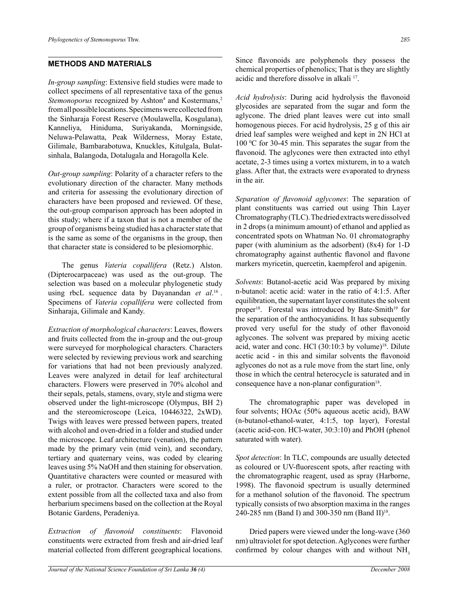# **METHODS AND MATERIALS**

*In-group sampling*: Extensive field studies were made to collect specimens of all representative taxa of the genus Stemonoporus recognized by Ashton<sup>4</sup> and Kostermans,<sup>2</sup> from all possible locations. Specimens were collected from the Sinharaja Forest Reserve (Moulawella, Kosgulana), Kanneliya, Hiniduma, Suriyakanda, Morningside, Neluwa-Pelawatta, Peak Wilderness, Moray Estate, Gilimale, Bambarabotuwa, Knuckles, Kitulgala, Bulatsinhala, Balangoda, Dotalugala and Horagolla Kele.

*Out-group sampling*: Polarity of a character refers to the evolutionary direction of the character. Many methods and criteria for assessing the evolutionary direction of characters have been proposed and reviewed. Of these, the out-group comparison approach has been adopted in this study; where if a taxon that is not a member of the group of organisms being studied has a character state that is the same as some of the organisms in the group, then that character state is considered to be plesiomorphic.

The genus *Vateria copallifera* (Retz.) Alston. (Dipterocarpaceae) was used as the out-group. The selection was based on a molecular phylogenetic study using rbcL sequence data by Dayanandan *et al*. 16 . Specimens of *Vateria copallifera* were collected from Sinharaja, Gilimale and Kandy.

*Extraction of morphological characters*: Leaves, flowers and fruits collected from the in-group and the out-group were surveyed for morphological characters. Characters were selected by reviewing previous work and searching for variations that had not been previously analyzed. Leaves were analyzed in detail for leaf architectural characters. Flowers were preserved in 70% alcohol and their sepals, petals, stamens, ovary, style and stigma were observed under the light-microscope (Olympus, BH 2) and the stereomicroscope (Leica, 10446322, 2xWD). Twigs with leaves were pressed between papers, treated with alcohol and oven-dried in a folder and studied under the microscope. Leaf architecture (venation), the pattern made by the primary vein (mid vein), and secondary, tertiary and quaternary veins, was coded by clearing leaves using 5% NaOH and then staining for observation. Quantitative characters were counted or measured with a ruler, or protractor. Characters were scored to the extent possible from all the collected taxa and also from herbarium specimens based on the collection at the Royal Botanic Gardens, Peradeniya.

*Extraction of flavonoid constituents*: Flavonoid constituents were extracted from fresh and air-dried leaf material collected from different geographical locations.

Since flavonoids are polyphenols they possess the chemical properties of phenolics; That is they are slightly acidic and therefore dissolve in alkali 17.

*Acid hydrolysis*: During acid hydrolysis the flavonoid glycosides are separated from the sugar and form the aglycone. The dried plant leaves were cut into small homogenous pieces. For acid hydrolysis, 25 g of this air dried leaf samples were weighed and kept in 2N HCl at 100 °C for 30-45 min. This separates the sugar from the flavonoid. The aglycones were then extracted into ethyl acetate, 2-3 times using a vortex mixturem, in to a watch glass. After that, the extracts were evaporated to dryness in the air.

*Separation of flavonoid aglycones*: The separation of plant constituents was carried out using Thin Layer Chromatography (TLC). The dried extracts were dissolved in 2 drops (a minimum amount) of ethanol and applied as concentrated spots on Whatman No. 01 chromatography paper (with aluminium as the adsorbent) (8x4) for 1-D chromatography against authentic flavonol and flavone markers myricetin, quercetin, kaempferol and apigenin.

*Solvents*: Butanol-acetic acid Was prepared by mixing n-butanol: acetic acid: water in the ratio of 4:1:5. After equilibration, the supernatant layer constitutes the solvent proper<sup>18</sup>. Forestal was introduced by Bate-Smith<sup>19</sup> for the separation of the anthocyanidins. It has subsequently proved very useful for the study of other flavonoid aglycones. The solvent was prepared by mixing acetic acid, water and conc. HCl (30:10:3 by volume)<sup>18</sup>. Dilute acetic acid - in this and similar solvents the flavonoid aglycones do not as a rule move from the start line, only those in which the central heterocycle is saturated and in consequence have a non-planar configuration<sup>18</sup>.

The chromatographic paper was developed in four solvents; HOAc (50% aqueous acetic acid), BAW (n-butanol-ethanol-water, 4:1:5, top layer), Forestal (acetic acid-con. HCl-water, 30:3:10) and PhOH (phenol saturated with water).

*Spot detection*: In TLC, compounds are usually detected as coloured or UV-fluorescent spots, after reacting with the chromatographic reagent, used as spray (Harborne, 1998). The flavonoid spectrum is usually determined for a methanol solution of the flavonoid. The spectrum typically consists of two absorption maxima in the ranges 240-285 nm (Band I) and 300-350 nm (Band II)<sup>18</sup>.

Dried papers were viewed under the long-wave (360 nm) ultraviolet for spot detection. Aglycones were further confirmed by colour changes with and without  $NH<sub>3</sub>$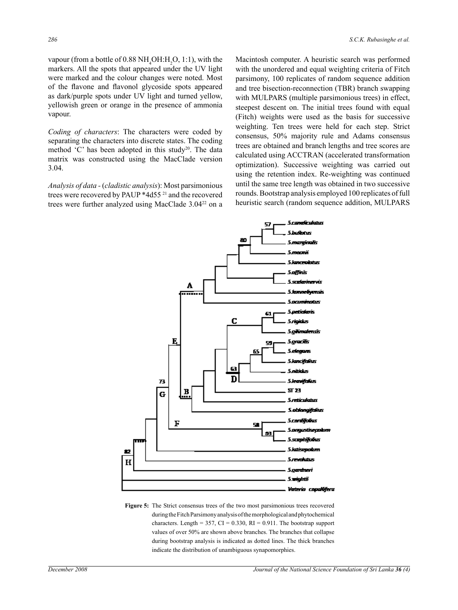vapour (from a bottle of  $0.88 \text{ NH}_4\text{OH}:\text{H}_2\text{O}, 1:1$ ), with the markers. All the spots that appeared under the UV light were marked and the colour changes were noted. Most of the flavone and flavonol glycoside spots appeared as dark/purple spots under UV light and turned yellow, yellowish green or orange in the presence of ammonia vapour.

*Coding of characters*: The characters were coded by separating the characters into discrete states. The coding method  $^{\circ}$ C' has been adopted in this study<sup>20</sup>. The data matrix was constructed using the MacClade version 3.04.

*Analysis of data -* (*cladistic analysis*): Most parsimonious trees were recovered by PAUP \*4d55 21 and the recovered trees were further analyzed using MacClade 3.0422 on a Macintosh computer. A heuristic search was performed with the unordered and equal weighting criteria of Fitch parsimony, 100 replicates of random sequence addition and tree bisection-reconnection (TBR) branch swapping with MULPARS (multiple parsimonious trees) in effect, steepest descent on. The initial trees found with equal (Fitch) weights were used as the basis for successive weighting. Ten trees were held for each step. Strict consensus, 50% majority rule and Adams consensus trees are obtained and branch lengths and tree scores are calculated using ACCTRAN (accelerated transformation optimization). Successive weighting was carried out using the retention index. Re-weighting was continued until the same tree length was obtained in two successive rounds. Bootstrap analysis employed 100 replicates of full heuristic search (random sequence addition, MULPARS



**Figure 5:** The Strict consensus trees of the two most parsimonious trees recovered during the Fitch Parsimony analysis of the morphological and phytochemical characters. Length =  $357$ , CI = 0.330, RI = 0.911. The bootstrap support values of over 50% are shown above branches. The branches that collapse during bootstrap analysis is indicated as dotted lines. The thick branches indicate the distribution of unambiguous synapomorphies.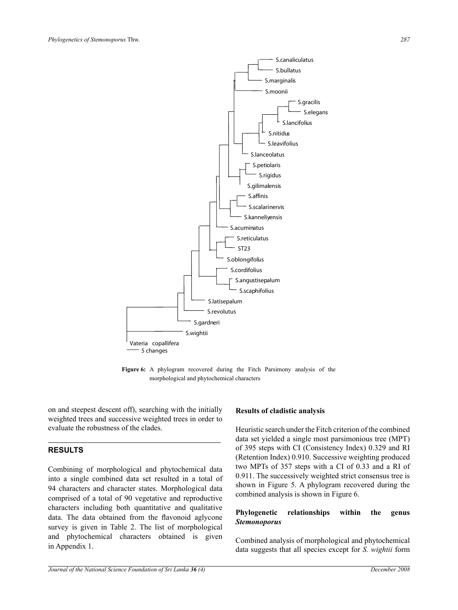

**Figure 6:** A phylogram recovered during the Fitch Parsimony analysis of the morphological and phytochemical characters

on and steepest descent off), searching with the initially weighted trees and successive weighted trees in order to evaluate the robustness of the clades.

# **RESULTS**

Combining of morphological and phytochemical data into a single combined data set resulted in a total of 94 characters and character states. Morphological data comprised of a total of 90 vegetative and reproductive characters including both quantitative and qualitative data. The data obtained from the flavonoid aglycone survey is given in Table 2. The list of morphological and phytochemical characters obtained is given in Appendix 1.

# **Results of cladistic analysis**

Heuristic search under the Fitch criterion of the combined data set yielded a single most parsimonious tree (MPT) of 395 steps with CI (Consistency Index) 0.329 and RI (Retention Index) 0.910. Successive weighting produced two MPTs of 357 steps with a CI of 0.33 and a RI of 0.911. The successively weighted strict consensus tree is shown in Figure 5. A phylogram recovered during the combined analysis is shown in Figure 6.

# **Phylogenetic relationships within the genus**  *Stemonoporus*

Combined analysis of morphological and phytochemical data suggests that all species except for *S. wightii* form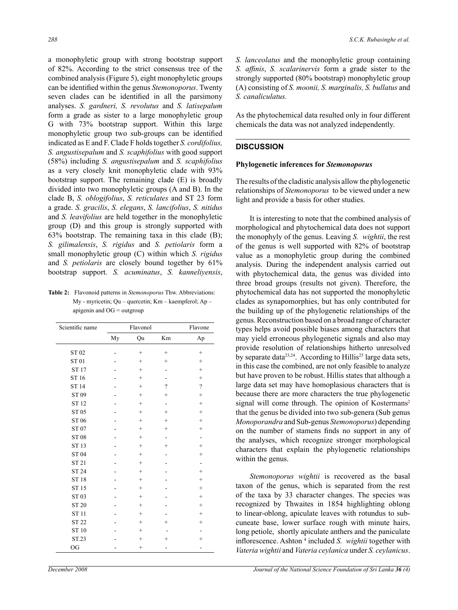a monophyletic group with strong bootstrap support of 82%. According to the strict consensus tree of the combined analysis (Figure 5), eight monophyletic groups can be identified within the genus *Stemonoporus*. Twenty seven clades can be identified in all the parsimony analyses. *S. gardneri, S. revolutus* and *S. latisepalum*  form a grade as sister to a large monophyletic group G with 73% bootstrap support. Within this large monophyletic group two sub-groups can be identified indicated as E and F. Clade F holds together *S. cordifolius, S. angustisepalum* and *S. scaphifolius* with good support (58%) including *S. angustisepalum* and *S. scaphifolius* as a very closely knit monophyletic clade with 93% bootstrap support. The remaining clade (E) is broadly divided into two monophyletic groups (A and B). In the clade B, *S. oblogifolius*, *S. reticulates* and ST 23 form a grade. *S. gracilis*, *S. elegans*, *S. lancifolius*, *S. nitidus* and *S. leavifolius* are held together in the monophyletic group (D) and this group is strongly supported with 63% bootstrap. The remaining taxa in this clade (B); *S. gilimalensis*, *S. rigidus* and *S. petiolaris* form a small monophyletic group (C) within which *S. rigidus* and *S. petiolaris* are closely bound together by 61% bootstrap support. *S. acuminatus*, *S. kanneliyensis*,

**Table 2:** Flavonoid patterns in *Stemonoporus* Thw. Abbreviations: My - myricetin; Qu – quercetin; Km – kaempferol; Ap – apigenin and OG = outgroup

| Scientific name | Flavonol |                   |                   | Flavone           |  |
|-----------------|----------|-------------------|-------------------|-------------------|--|
|                 | My       | Qu                | Km                | Ap                |  |
| ST 02           |          | $^{+}$            | $\qquad \qquad +$ | $^{+}$            |  |
| ST 01           |          | $^{+}$            | $^{+}$            | $^{+}$            |  |
| <b>ST17</b>     |          | $^{+}$            |                   | $^{+}$            |  |
| ST 16           |          | $^{+}$            |                   | $^{+}$            |  |
| <b>ST14</b>     |          | $^{+}$            | $\gamma$          | $\gamma$          |  |
| ST 09           |          | $^{+}$            | $^{+}$            | $^{+}$            |  |
| <b>ST12</b>     |          | $^{+}$            |                   | $^{+}$            |  |
| ST 05           |          | $^{+}$            | $^{+}$            | $^{+}$            |  |
| ST 06           |          | $^{+}$            | $^{+}$            | $^{+}$            |  |
| ST 07           |          | $\qquad \qquad +$ | $^{+}$            | $^{+}$            |  |
| <b>ST08</b>     |          | $^{+}$            |                   |                   |  |
| ST 13           |          | $^{+}$            | $^{+}$            | $^{+}$            |  |
| ST 04           |          | $^{+}$            |                   | $^{+}$            |  |
| ST 21           |          | $^{+}$            |                   |                   |  |
| <b>ST 24</b>    |          | $^{+}$            |                   | $^{+}$            |  |
| <b>ST18</b>     |          | $^{+}$            |                   | $^{+}$            |  |
| ST 15           |          | $^{+}$            |                   | $^{+}$            |  |
| ST 03           |          | $\qquad \qquad +$ |                   | $\qquad \qquad +$ |  |
| <b>ST 20</b>    |          | $^{+}$            |                   | $^{+}$            |  |
| <b>ST11</b>     |          | $^{+}$            |                   | $^{+}$            |  |
| ST 22           |          | $^{+}$            |                   | $^{+}$            |  |
| ST 10           |          | $^{+}$            |                   |                   |  |
| ST.23           |          | $^{+}$            | $\,+\,$           | $^{+}$            |  |
| OG              |          | $^{+}$            |                   |                   |  |

*S. lanceolatus* and the monophyletic group containing *S. affinis*, *S. scalarinervis* form a grade sister to the strongly supported (80% bootstrap) monophyletic group (A) consisting of *S. moonii, S. marginalis, S. bullatus* and *S. canaliculatus.* 

As the phytochemical data resulted only in four different chemicals the data was not analyzed independently.

#### **DISCUSSION**

#### **Phylogenetic inferences for** *Stemonoporus*

The results of the cladistic analysis allow the phylogenetic relationships of *Stemonoporus* to be viewed under a new light and provide a basis for other studies.

It is interesting to note that the combined analysis of morphological and phytochemical data does not support the monophyly of the genus. Leaving *S. wightii*, the rest of the genus is well supported with 82% of bootstrap value as a monophyletic group during the combined analysis. During the independent analysis carried out with phytochemical data, the genus was divided into three broad groups (results not given). Therefore, the phytochemical data has not supported the monophyletic clades as synapomorphies, but has only contributed for the building up of the phylogenetic relationships of the genus. Reconstruction based on a broad range of character types helps avoid possible biases among characters that may yield erroneous phylogenetic signals and also may provide resolution of relationships hitherto unresolved by separate data $2^{3,24}$ . According to Hillis<sup>25</sup> large data sets, in this case the combined, are not only feasible to analyze but have proven to be robust. Hillis states that although a large data set may have homoplasious characters that is because there are more characters the true phylogenetic signal will come through. The opinion of Kostermans<sup>2</sup> that the genus be divided into two sub-genera (Sub genus *Monoporandra* and Sub-genus *Stemonoporus*) depending on the number of stamens finds no support in any of the analyses, which recognize stronger morphological characters that explain the phylogenetic relationships within the genus.

*Stemonoporus wightii* is recovered as the basal taxon of the genus, which is separated from the rest of the taxa by 33 character changes. The species was recognized by Thwaites in 1854 highlighting oblong to linear-oblong, apiculate leaves with rotundus to subcuneate base, lower surface rough with minute hairs, long petiole, shortly apiculate anthers and the paniculate inflorescence. Ashton <sup>4</sup> included *S. wightii* together with *Vateria wightii* and *Vateria ceylanica* under *S. ceylanicus*.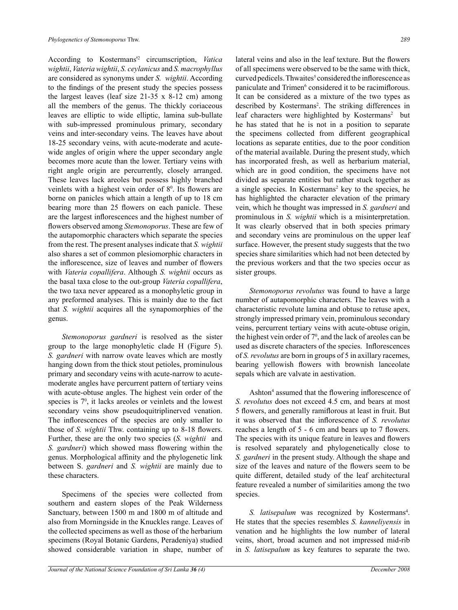According to Kostermans'2 circumscription, *Vatica wightii*, *Vateria wightii*, *S. ceylanicus* and *S. macrophyllus*  are considered as synonyms under *S. wightii*. According to the findings of the present study the species possess the largest leaves (leaf size 21-35 x 8-12 cm) among all the members of the genus. The thickly coriaceous leaves are elliptic to wide elliptic, lamina sub-bullate with sub-impressed prominulous primary, secondary veins and inter-secondary veins. The leaves have about 18-25 secondary veins, with acute-moderate and acutewide angles of origin where the upper secondary angle becomes more acute than the lower. Tertiary veins with right angle origin are percurrently, closely arranged. These leaves lack areoles but possess highly branched veinlets with a highest vein order of  $8^\circ$ . Its flowers are borne on panicles which attain a length of up to 18 cm bearing more than 25 flowers on each panicle. These are the largest inflorescences and the highest number of flowers observed among *Stemonoporus*. These are few of the autapomorphic characters which separate the species from the rest. The present analyses indicate that *S. wightii*  also shares a set of common plesiomorphic characters in the inflorescence, size of leaves and number of flowers with *Vateria copallifera*. Although *S. wightii* occurs as the basal taxa close to the out-group *Vateria copallifera*, the two taxa never appeared as a monophyletic group in any preformed analyses. This is mainly due to the fact that *S. wightii* acquires all the synapomorphies of the genus.

*Stemonoporus gardneri* is resolved as the sister group to the large monophyletic clade H (Figure 5). *S. gardneri* with narrow ovate leaves which are mostly hanging down from the thick stout petioles, prominulous primary and secondary veins with acute-narrow to acutemoderate angles have percurrent pattern of tertiary veins with acute-obtuse angles. The highest vein order of the species is  $7<sup>0</sup>$ , it lacks areoles or veinlets and the lowest secondary veins show pseudoquitriplinerved venation. The inflorescences of the species are only smaller to those of *S. wightii* Thw. containing up to 8-18 flowers. Further, these are the only two species (*S. wightii* and *S. gardneri*) which showed mass flowering within the genus. Morphological affinity and the phylogenetic link between S. *gardneri* and *S. wightii* are mainly due to these characters.

Specimens of the species were collected from southern and eastern slopes of the Peak Wilderness Sanctuary, between 1500 m and 1800 m of altitude and also from Morningside in the Knuckles range. Leaves of the collected specimens as well as those of the herbarium specimens (Royal Botanic Gardens, Peradeniya) studied showed considerable variation in shape, number of lateral veins and also in the leaf texture. But the flowers of all specimens were observed to be the same with thick, curved pedicels. Thwaites<sup>5</sup> considered the inflorescence as paniculate and Trimen<sup>6</sup> considered it to be racimiflorous. It can be considered as a mixture of the two types as described by Kostermans<sup>2</sup>. The striking differences in leaf characters were highlighted by Kostermans<sup>2</sup> but he has stated that he is not in a position to separate the specimens collected from different geographical locations as separate entities, due to the poor condition of the material available. During the present study, which has incorporated fresh, as well as herbarium material, which are in good condition, the specimens have not divided as separate entities but rather stuck together as a single species. In Kostermans<sup>2</sup> key to the species, he has highlighted the character elevation of the primary vein, which he thought was impressed in *S. gardneri* and prominulous in *S. wightii* which is a misinterpretation. It was clearly observed that in both species primary and secondary veins are prominulous on the upper leaf surface. However, the present study suggests that the two species share similarities which had not been detected by the previous workers and that the two species occur as sister groups.

*Stemonoporus revolutus* was found to have a large number of autapomorphic characters. The leaves with a characteristic revolute lamina and obtuse to retuse apex, strongly impressed primary vein, prominulous secondary veins, percurrent tertiary veins with acute-obtuse origin, the highest vein order of  $7<sup>0</sup>$ , and the lack of areoles can be used as discrete characters of the species. Inflorescences of *S. revolutus* are born in groups of 5 in axillary racemes, bearing yellowish flowers with brownish lanceolate sepals which are valvate in aestivation.

Ashton<sup>4</sup> assumed that the flowering inflorescence of *S. revolutus* does not exceed 4.5 cm, and bears at most 5 flowers, and generally ramiflorous at least in fruit. But it was observed that the inflorescence of *S. revolutus* reaches a length of 5 - 6 cm and bears up to 7 flowers. The species with its unique feature in leaves and flowers is resolved separately and phylogenetically close to *S. gardneri* in the present study. Although the shape and size of the leaves and nature of the flowers seem to be quite different, detailed study of the leaf architectural feature revealed a number of similarities among the two species.

S. *latisepalum* was recognized by Kostermans<sup>4</sup>. He states that the species resembles *S. kanneliyensis* in venation and he highlights the low number of lateral veins, short, broad acumen and not impressed mid-rib in *S. latisepalum* as key features to separate the two.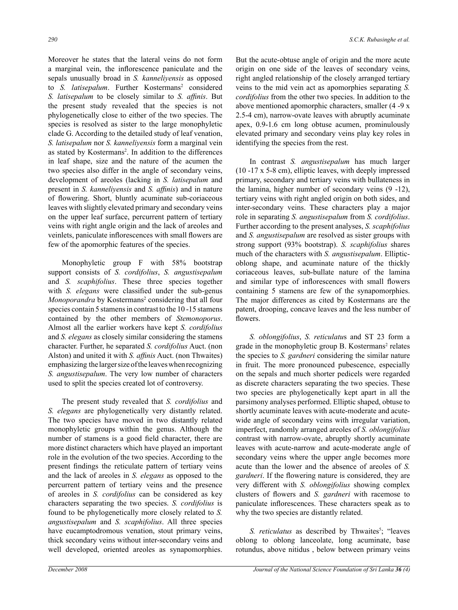Moreover he states that the lateral veins do not form a marginal vein, the inflorescence paniculate and the sepals unusually broad in *S. kanneliyensis* as opposed to *S. latisepalum*. Further Kostermans<sup>2</sup> considered *S. latisepalum* to be closely similar to *S. affinis*. But the present study revealed that the species is not phylogenetically close to either of the two species. The species is resolved as sister to the large monophyletic clade G. According to the detailed study of leaf venation, *S. latisepalum* nor *S. kanneliyensis* form a marginal vein as stated by Kostermans<sup>2</sup>. In addition to the differences in leaf shape, size and the nature of the acumen the two species also differ in the angle of secondary veins, development of areoles (lacking in *S. latisepalum* and present in *S. kanneliyensis* and *S. affinis*) and in nature of flowering. Short, bluntly acuminate sub-coriaceous leaves with slightly elevated primary and secondary veins on the upper leaf surface, percurrent pattern of tertiary veins with right angle origin and the lack of areoles and veinlets, paniculate inflorescences with small flowers are few of the apomorphic features of the species.

Monophyletic group F with 58% bootstrap support consists of *S. cordifolius*, *S. angustisepalum* and *S. scaphifolius*. These three species together with *S. elegans* were classified under the sub-genus Monoporandra by Kostermans<sup>2</sup> considering that all four species contain 5 stamens in contrast to the 10 -15 stamens contained by the other members of *Stemonoporus*. Almost all the earlier workers have kept *S. cordifolius*  and *S. elegans* as closely similar considering the stamens character. Further, he separated *S. cordifolius* Auct. (non Alston) and united it with *S. affinis* Auct. (non Thwaites) emphasizing the larger size of the leaves when recognizing *S. angustisepalum*. The very low number of characters used to split the species created lot of controversy.

The present study revealed that *S. cordifolius* and *S. elegans* are phylogenetically very distantly related. The two species have moved in two distantly related monophyletic groups within the genus. Although the number of stamens is a good field character, there are more distinct characters which have played an important role in the evolution of the two species. According to the present findings the reticulate pattern of tertiary veins and the lack of areoles in *S. elegans* as opposed to the percurrent pattern of tertiary veins and the presence of areoles in *S. cordifolius* can be considered as key characters separating the two species. *S. cordifolius* is found to be phylogenetically more closely related to *S. angustisepalum* and *S. scaphifolius*. All three species have eucamptodromous venation, stout primary veins, thick secondary veins without inter-secondary veins and well developed, oriented areoles as synapomorphies.

But the acute-obtuse angle of origin and the more acute origin on one side of the leaves of secondary veins, right angled relationship of the closely arranged tertiary veins to the mid vein act as apomorphies separating *S. cordifolius* from the other two species. In addition to the above mentioned apomorphic characters, smaller (4 -9 x 2.5-4 cm), narrow-ovate leaves with abruptly acuminate apex, 0.9-1.6 cm long obtuse acumen, prominulously elevated primary and secondary veins play key roles in identifying the species from the rest.

In contrast *S. angustisepalum* has much larger (10 -17 x 5-8 cm), elliptic leaves, with deeply impressed primary, secondary and tertiary veins with bullateness in the lamina, higher number of secondary veins (9 -12), tertiary veins with right angled origin on both sides, and inter-secondary veins. These characters play a major role in separating *S. angustisepalum* from *S. cordifolius*. Further according to the present analyses, *S. scaphifolius*  and *S. angustisepalum* are resolved as sister groups with strong support (93% bootstrap). *S. scaphifolius* shares much of the characters with *S. angustisepalum*. Ellipticoblong shape, and acuminate nature of the thickly coriaceous leaves, sub-bullate nature of the lamina and similar type of inflorescences with small flowers containing 5 stamens are few of the synapomorphies. The major differences as cited by Kostermans are the patent, drooping, concave leaves and the less number of flowers.

*S. oblongifolius*, *S. reticulatu*s and ST 23 form a grade in the monophyletic group B. Kostermans<sup>2</sup> relates the species to *S. gardneri* considering the similar nature in fruit. The more pronounced pubescence, especially on the sepals and much shorter pedicels were regarded as discrete characters separating the two species. These two species are phylogenetically kept apart in all the parsimony analyses performed. Elliptic shaped, obtuse to shortly acuminate leaves with acute-moderate and acutewide angle of secondary veins with irregular variation, imperfect, randomly arranged areoles of *S. oblongifolius* contrast with narrow-ovate, abruptly shortly acuminate leaves with acute-narrow and acute-moderate angle of secondary veins where the upper angle becomes more acute than the lower and the absence of areoles of *S. gardneri*. If the flowering nature is considered, they are very different with *S. oblongifolius* showing complex clusters of flowers and *S. gardneri* with racemose to paniculate inflorescences. These characters speak as to why the two species are distantly related.

S. *reticulatus* as described by Thwaites<sup>5</sup>; "leaves oblong to oblong lanceolate, long acuminate, base rotundus, above nitidus , below between primary veins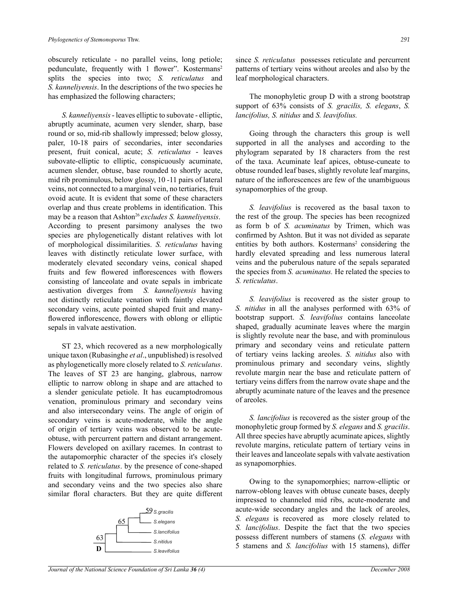obscurely reticulate - no parallel veins, long petiole; pedunculate, frequently with 1 flower". Kostermans<sup>2</sup> splits the species into two; *S. reticulatus* and *S. kanneliyensis*. In the descriptions of the two species he has emphasized the following characters;

*S. kanneliyensis* - leaves elliptic to subovate - elliptic, abruptly acuminate, acumen very slender, sharp, base round or so, mid-rib shallowly impressed; below glossy, paler, 10-18 pairs of secondaries, inter secondaries present, fruit conical, acute; *S. reticulatus* - leaves subovate-elliptic to elliptic, conspicuously acuminate, acumen slender, obtuse, base rounded to shortly acute, mid rib prominulous, below glossy, 10 -11 pairs of lateral veins, not connected to a marginal vein, no tertiaries, fruit ovoid acute. It is evident that some of these characters overlap and thus create problems in identification. This may be a reason that Ashton<sup>26</sup> excludes *S. kanneliyensis*. According to present parsimony analyses the two species are phylogenetically distant relatives with lot of morphological dissimilarities. *S. reticulatus* having leaves with distinctly reticulate lower surface, with moderately elevated secondary veins, conical shaped fruits and few flowered inflorescences with flowers consisting of lanceolate and ovate sepals in imbricate aestivation diverges from *S. kanneliyensis* having not distinctly reticulate venation with faintly elevated secondary veins, acute pointed shaped fruit and manyflowered inflorescence, flowers with oblong or elliptic sepals in valvate aestivation.

ST 23, which recovered as a new morphologically unique taxon (Rubasinghe *et al*., unpublished) is resolved as phylogenetically more closely related to *S. reticulatus*. The leaves of ST 23 are hanging, glabrous, narrow elliptic to narrow oblong in shape and are attached to a slender geniculate petiole. It has eucamptodromous venation, prominulous primary and secondary veins and also intersecondary veins. The angle of origin of secondary veins is acute-moderate, while the angle of origin of tertiary veins was observed to be acuteobtuse, with percurrent pattern and distant arrangement. Flowers developed on axillary racemes. In contrast to the autapomorphic character of the species it's closely related to *S. reticulatus*. by the presence of cone-shaped fruits with longitudinal furrows, prominulous primary and secondary veins and the two species also share similar floral characters. But they are quite different



since *S. reticulatus* possesses reticulate and percurrent patterns of tertiary veins without areoles and also by the leaf morphological characters.

The monophyletic group D with a strong bootstrap support of 63% consists of *S. gracilis, S. elegans*, *S. lancifolius, S. nitidus* and *S. leavifolius.*

Going through the characters this group is well supported in all the analyses and according to the phylogram separated by 18 characters from the rest of the taxa. Acuminate leaf apices, obtuse-cuneate to obtuse rounded leaf bases, slightly revolute leaf margins, nature of the inflorescences are few of the unambiguous synapomorphies of the group.

*S. leavifolius* is recovered as the basal taxon to the rest of the group. The species has been recognized as form b of *S. acuminatus* by Trimen, which was confirmed by Ashton. But it was not divided as separate entities by both authors. Kostermans<sup>2</sup> considering the hardly elevated spreading and less numerous lateral veins and the puberulous nature of the sepals separated the species from *S. acuminatus.* He related the species to *S. reticulatus*.

*S. leavifolius* is recovered as the sister group to *S. nitidus* in all the analyses performed with 63% of bootstrap support. *S. leavifolius* contains lanceolate shaped, gradually acuminate leaves where the margin is slightly revolute near the base, and with prominulous primary and secondary veins and reticulate pattern of tertiary veins lacking areoles. *S. nitidus* also with prominulous primary and secondary veins, slightly revolute margin near the base and reticulate pattern of tertiary veins differs from the narrow ovate shape and the abruptly acuminate nature of the leaves and the presence of areoles.

*S. lancifolius* is recovered as the sister group of the monophyletic group formed by *S. elegans* and *S. gracilis*. All three species have abruptly acuminate apices, slightly revolute margins, reticulate pattern of tertiary veins in their leaves and lanceolate sepals with valvate aestivation as synapomorphies.

Owing to the synapomorphies; narrow-elliptic or narrow-oblong leaves with obtuse cuneate bases, deeply impressed to channeled mid ribs, acute-moderate and acute-wide secondary angles and the lack of areoles, *S. elegans* is recovered as more closely related to *S. lancifolius*. Despite the fact that the two species possess different numbers of stamens (*S. elegans* with 5 stamens and *S. lancifolius* with 15 stamens), differ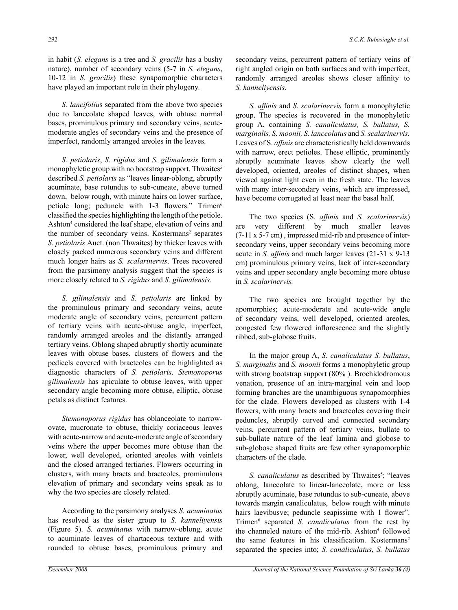in habit (*S. elegans* is a tree and *S. gracilis* has a bushy nature), number of secondary veins (5-7 in *S. elegans*, 10-12 in *S. gracilis*) these synapomorphic characters have played an important role in their phylogeny.

*S. lancifoliu*s separated from the above two species due to lanceolate shaped leaves, with obtuse normal bases, prominulous primary and secondary veins, acutemoderate angles of secondary veins and the presence of imperfect, randomly arranged areoles in the leaves.

*S. petiolaris*, *S. rigidus* and *S. gilimalensis* form a monophyletic group with no bootstrap support. Thwaites<sup>5</sup> described *S. petiolaris* as "leaves linear-oblong, abruptly acuminate, base rotundus to sub-cuneate, above turned down, below rough, with minute hairs on lower surface, petiole long; peduncle with 1-3 flowers." Trimen<sup>6</sup> classified the species highlighting the length ofthe petiole. Ashton<sup>4</sup> considered the leaf shape, elevation of veins and the number of secondary veins. Kostermans<sup>2</sup> separates *S. petiolaris* Auct. (non Thwaites) by thicker leaves with closely packed numerous secondary veins and different much longer hairs as *S. scalarinervis*. Trees recovered from the parsimony analysis suggest that the species is more closely related to *S. rigidus* and *S. gilimalensis.* 

*S. gilimalensis* and *S. petiolaris* are linked by the prominulous primary and secondary veins, acute moderate angle of secondary veins, percurrent pattern of tertiary veins with acute-obtuse angle, imperfect, randomly arranged areoles and the distantly arranged tertiary veins. Oblong shaped abruptly shortly acuminate leaves with obtuse bases, clusters of flowers and the pedicels covered with bracteoles can be highlighted as diagnostic characters of *S. petiolaris*. *Stemonoporus gilimalensis* has apiculate to obtuse leaves, with upper secondary angle becoming more obtuse, elliptic, obtuse petals as distinct features.

*Stemonoporus rigidus* has oblanceolate to narrowovate, mucronate to obtuse, thickly coriaceous leaves with acute-narrow and acute-moderate angle of secondary veins where the upper becomes more obtuse than the lower, well developed, oriented areoles with veinlets and the closed arranged tertiaries. Flowers occurring in clusters, with many bracts and bracteoles, prominulous elevation of primary and secondary veins speak as to why the two species are closely related.

According to the parsimony analyses *S. acuminatus*  has resolved as the sister group to *S. kanneliyensis*  (Figure 5). *S. acuminatus* with narrow-oblong, acute to acuminate leaves of chartaceous texture and with rounded to obtuse bases, prominulous primary and secondary veins, percurrent pattern of tertiary veins of right angled origin on both surfaces and with imperfect, randomly arranged areoles shows closer affinity to *S. kanneliyensis.*

*S. affinis* and *S. scalarinervis* form a monophyletic group. The species is recovered in the monophyletic group A, containing *S. canaliculatus, S. bullatus, S. marginalis, S. moonii, S. lanceolatus* and *S. scalarinervis.*  Leaves of S. *affinis* are characteristically held downwards with narrow, erect petioles. These elliptic, prominently abruptly acuminate leaves show clearly the well developed, oriented, areoles of distinct shapes, when viewed against light even in the fresh state. The leaves with many inter-secondary veins, which are impressed, have become corrugated at least near the basal half.

The two species (S. *affinis* and *S. scalarinervis*) are very different by much smaller leaves (7-11 x 5-7 cm) , impressed mid-rib and presence of intersecondary veins, upper secondary veins becoming more acute in *S. affinis* and much larger leaves (21-31 x 9-13 cm) prominulous primary veins, lack of inter-secondary veins and upper secondary angle becoming more obtuse in *S. scalarinervis.* 

The two species are brought together by the apomorphies; acute-moderate and acute-wide angle of secondary veins, well developed, oriented areoles, congested few flowered inflorescence and the slightly ribbed, sub-globose fruits.

In the major group A, *S. canaliculatus S. bullatus*, *S. marginalis* and *S. moonii* forms a monophyletic group with strong bootstrap support (80%). Brochidodromous venation, presence of an intra-marginal vein and loop forming branches are the unambiguous synapomorphies for the clade. Flowers developed as clusters with 1-4 flowers, with many bracts and bracteoles covering their peduncles, abruptly curved and connected secondary veins, percurrent pattern of tertiary veins, bullate to sub-bullate nature of the leaf lamina and globose to sub-globose shaped fruits are few other synapomorphic characters of the clade.

S. *canaliculatus* as described by Thwaites<sup>5</sup>; "leaves oblong, lanceolate to linear-lanceolate, more or less abruptly acuminate, base rotundus to sub-cuneate, above towards margin canaliculatus, below rough with minute hairs laevibusve; peduncle seapissime with 1 flower". Trimen<sup>6</sup> separated *S. canaliculatus* from the rest by the channeled nature of the mid-rib. Ashton<sup>4</sup> followed the same features in his classification. Kostermans<sup>2</sup> separated the species into; *S. canaliculatus*, *S. bullatus*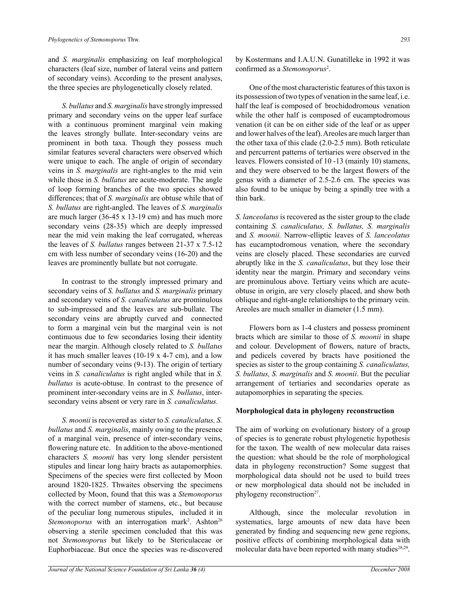and *S. marginalis* emphasizing on leaf morphological characters (leaf size, number of lateral veins and pattern of secondary veins). According to the present analyses, the three species are phylogenetically closely related.

*S. bullatus* and *S. marginalis* have strongly impressed primary and secondary veins on the upper leaf surface with a continuous prominent marginal vein making the leaves strongly bullate. Inter-secondary veins are prominent in both taxa. Though they possess much similar features several characters were observed which were unique to each. The angle of origin of secondary veins in *S. marginalis* are right-angles to the mid vein while those in *S. bullatus* are acute-moderate. The angle of loop forming branches of the two species showed differences; that of *S. marginalis* are obtuse while that of *S. bullatus* are right-angled. The leaves of *S. marginalis*  are much larger (36-45 x 13-19 cm) and has much more secondary veins (28-35) which are deeply impressed near the mid vein making the leaf corrugated, whereas the leaves of *S. bullatus* ranges between 21-37 x 7.5-12 cm with less number of secondary veins (16-20) and the leaves are prominently bullate but not corrugate.

In contrast to the strongly impressed primary and secondary veins of *S. bullatus* and *S. marginalis* primary and secondary veins of *S. canaliculatus* are prominulous to sub-impressed and the leaves are sub-bullate. The secondary veins are abruptly curved and connected to form a marginal vein but the marginal vein is not continuous due to few secondaries losing their identity near the margin. Although closely related to *S. bullatus* it has much smaller leaves (10-19 x 4-7 cm), and a low number of secondary veins (9-13). The origin of tertiary veins in *S. canaliculatus* is right angled while that in *S. bullatus* is acute-obtuse. In contrast to the presence of prominent inter-secondary veins are in *S. bullatus*, intersecondary veins absent or very rare in *S. canaliculatus.*

*S. moonii* is recovered as sister to *S. canaliculatus, S. bullatus* and *S. marginalis*, mainly owing to the presence of a marginal vein, presence of inter-secondary veins, flowering nature etc. In addition to the above-mentioned characters *S. moonii* has very long slender persistent stipules and linear long hairy bracts as autapomorphies. Specimens of the species were first collected by Moon around 1820-1825. Thwaites observing the specimens collected by Moon, found that this was a *Stemonoporus* with the correct number of stamens, etc., but because of the peculiar long numerous stipules, included it in Stemonoporus with an interrogation mark<sup>2</sup>. Ashton<sup>26</sup> observing a sterile specimen concluded that this was not *Stemonoporus* but likely to be Stericulaceae or Euphorbiaceae. But once the species was re-discovered by Kostermans and I.A.U.N. Gunatilleke in 1992 it was confirmed as a *Stemonoporus*<sup>2</sup> .

One of the most characteristic features of this taxon is its possession of two types of venation in the same leaf, i.e. half the leaf is composed of brochidodromous venation while the other half is composed of eucamptodromous venation (it can be on either side of the leaf or as upper and lower halves of the leaf). Areoles are much larger than the other taxa of this clade (2.0-2.5 mm). Both reticulate and percurrent patterns of tertiaries were observed in the leaves. Flowers consisted of 10 -13 (mainly 10) stamens, and they were observed to be the largest flowers of the genus with a diameter of 2.5-2.6 cm. The species was also found to be unique by being a spindly tree with a thin bark.

*S. lanceolatus* is recovered as the sister group to the clade containing *S. canaliculatus, S. bullatus, S. marginalis* and *S. moonii.* Narrow-elliptic leaves of *S. lanceolatus* has eucamptodromous venation, where the secondary veins are closely placed. These secondaries are curved abruptly like in the *S. canaliculatus*, but they lose their identity near the margin. Primary and secondary veins are prominulous above. Tertiary veins which are acuteobtuse in origin, are very closely placed, and show both oblique and right-angle relationships to the primary vein. Areoles are much smaller in diameter (1.5 mm).

Flowers born as 1-4 clusters and possess prominent bracts which are similar to those of *S. moonii* in shape and colour. Development of flowers, nature of bracts, and pedicels covered by bracts have positioned the species as sister to the group containing *S. canaliculatus, S. bullatus, S. marginalis* and *S. moonii*. But the peculiar arrangement of tertiaries and secondaries operate as autapomorphies in separating the species.

# **Morphological data in phylogeny reconstruction**

The aim of working on evolutionary history of a group of species is to generate robust phylogenetic hypothesis for the taxon. The wealth of new molecular data raises the question: what should be the role of morphological data in phylogeny reconstruction? Some suggest that morphological data should not be used to build trees or new morphological data should not be included in phylogeny reconstruction<sup>27</sup>.

Although, since the molecular revolution in systematics, large amounts of new data have been generated by finding and sequencing new gene regions, positive effects of combining morphological data with molecular data have been reported with many studies<sup>28,29</sup>.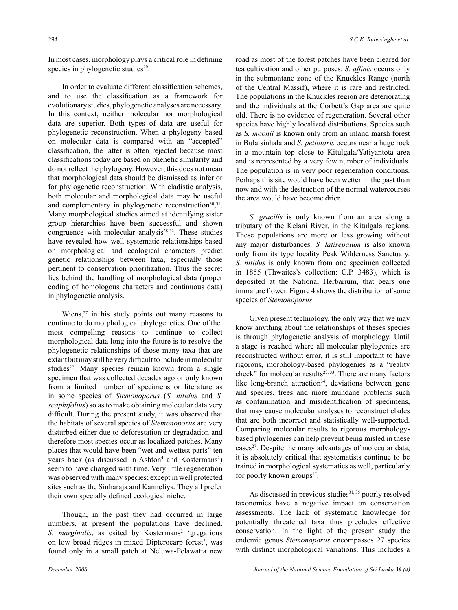In most cases, morphology plays a critical role in defining species in phylogenetic studies $2<sup>9</sup>$ .

 In order to evaluate different classification schemes, and to use the classification as a framework for evolutionary studies, phylogenetic analyses are necessary. In this context, neither molecular nor morphological data are superior. Both types of data are useful for phylogenetic reconstruction. When a phylogeny based on molecular data is compared with an "accepted" classification, the latter is often rejected because most classifications today are based on phenetic similarity and do not reflect the phylogeny. However, this does not mean that morphological data should be dismissed as inferior for phylogenetic reconstruction. With cladistic analysis, both molecular and morphological data may be useful and complementary in phylogenetic reconstruction<sup>30</sup>,<sup>31</sup>. Many morphological studies aimed at identifying sister group hierarchies have been successful and shown congruence with molecular analysis<sup>28-32</sup>. These studies have revealed how well systematic relationships based on morphological and ecological characters predict genetic relationships between taxa, especially those pertinent to conservation prioritization. Thus the secret lies behind the handling of morphological data (proper coding of homologous characters and continuous data) in phylogenetic analysis.

Wiens, $27$  in his study points out many reasons to continue to do morphological phylogenetics. One of the most compelling reasons to continue to collect morphological data long into the future is to resolve the phylogenetic relationships of those many taxa that are extant but may still be very difficult to include in molecular studies<sup>27</sup>. Many species remain known from a single specimen that was collected decades ago or only known from a limited number of specimens or literature as in some species of *Stemonoporus* (*S. nitidus* and *S. scaphifolius*) so as to make obtaining molecular data very difficult. During the present study, it was observed that the habitats of several species of *Stemonoporus* are very disturbed either due to deforestation or degradation and therefore most species occur as localized patches. Many places that would have been "wet and wettest parts" ten years back (as discussed in Ashton<sup>4</sup> and Kostermans<sup>2</sup>) seem to have changed with time. Very little regeneration was observed with many species; except in well protected sites such as the Sinharaja and Kanneliya. They all prefer their own specially defined ecological niche.

Though, in the past they had occurred in large numbers, at present the populations have declined. S. *marginalis*, as csited by Kostermans<sup>2</sup> 'gregarious on low broad ridges in mixed Dipterocarp forest', was found only in a small patch at Neluwa-Pelawatta new

road as most of the forest patches have been cleared for tea cultivation and other purposes. *S. affinis* occurs only in the submontane zone of the Knuckles Range (north of the Central Massif), where it is rare and restricted. The populations in the Knuckles region are deteriorating and the individuals at the Corbett's Gap area are quite old. There is no evidence of regeneration. Several other species have highly localized distributions. Species such as *S. moonii* is known only from an inland marsh forest in Bulatsinhala and *S. petiolaris* occurs near a huge rock in a mountain top close to Kitulgala/Yatiyantota area and is represented by a very few number of individuals. The population is in very poor regeneration conditions. Perhaps this site would have been wetter in the past than now and with the destruction of the normal watercourses the area would have become drier.

*S. gracilis* is only known from an area along a tributary of the Kelani River, in the Kitulgala regions. These populations are more or less growing without any major disturbances. *S. latisepalum* is also known only from its type locality Peak Wilderness Sanctuary. *S. nitidus* is only known from one specimen collected in 1855 (Thwaites's collection: C.P. 3483), which is deposited at the National Herbarium, that bears one immature flower. Figure 4 shows the distribution of some species of *Stemonoporus*.

Given present technology, the only way that we may know anything about the relationships of theses species is through phylogenetic analysis of morphology. Until a stage is reached where all molecular phylogenies are reconstructed without error, it is still important to have rigorous, morphology-based phylogenies as a "reality check" for molecular results<sup>27, 33</sup>. There are many factors like long-branch attraction<sup>34</sup>, deviations between gene and species, trees and more mundane problems such as contamination and misidentification of specimens, that may cause molecular analyses to reconstruct clades that are both incorrect and statistically well-supported. Comparing molecular results to rigorous morphologybased phylogenies can help prevent being misled in these cases<sup>27</sup>. Despite the many advantages of molecular data, it is absolutely critical that systematists continue to be trained in morphological systematics as well, particularly for poorly known groups $2^7$ .

As discussed in previous studies<sup>31, 35</sup> poorly resolved taxonomies have a negative impact on conservation assessments. The lack of systematic knowledge for potentially threatened taxa thus precludes effective conservation. In the light of the present study the endemic genus *Stemonoporus* encompasses 27 species with distinct morphological variations. This includes a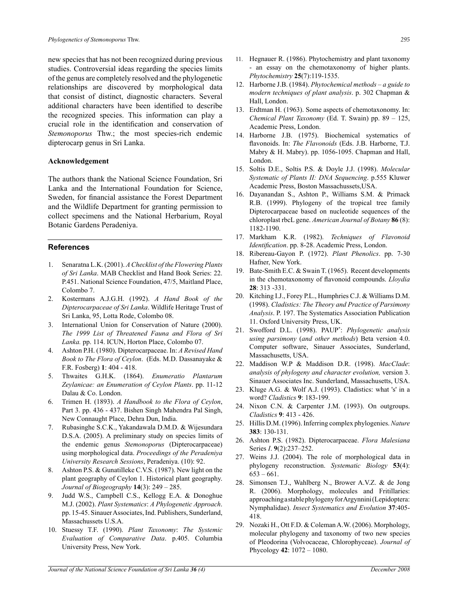new species that has not been recognized during previous studies. Controversial ideas regarding the species limits of the genus are completely resolved and the phylogenetic relationships are discovered by morphological data that consist of distinct, diagnostic characters. Several additional characters have been identified to describe the recognized species. This information can play a crucial role in the identification and conservation of *Stemonoporus* Thw.; the most species-rich endemic dipterocarp genus in Sri Lanka.

#### **Acknowledgement**

The authors thank the National Science Foundation, Sri Lanka and the International Foundation for Science, Sweden, for financial assistance the Forest Department and the Wildlife Department for granting permission to collect specimens and the National Herbarium, Royal Botanic Gardens Peradeniya.

#### **References**

- 1. Senaratna L.K. (2001). *A Checklist of the Flowering Plants of Sri Lanka*. MAB Checklist and Hand Book Series: 22. P.451. National Science Foundation, 47/5, Maitland Place, Colombo 7.
- 2. Kostermans A.J.G.H. (1992). *A Hand Book of the Dipterocarpaceae of Sri Lanka*. Wildlife Heritage Trust of Sri Lanka, 95, Lotta Rode, Colombo 08.
- 3. International Union for Conservation of Nature (2000). *The 1999 List of Threatened Fauna and Flora of Sri Lanka.* pp. 114. ICUN, Horton Place, Colombo 07.
- 4. Ashton P.H. (1980). Dipterocarpaceae. In: *A Revised Hand Book to The Flora of Ceylon*. (Eds. M.D. Dassanayake & F.R. Fosberg) **1**: 404 - 418.
- 5. Thwaites G.H.K. (1864). *Enumeratio Plantarum Zeylanicae: an Enumeration of Ceylon Plants*. pp. 11-12 Dalau & Co. London.
- 6. Trimen H. (1893). *A Handbook to the Flora of Ceylon*, Part 3. pp. 436 - 437. Bishen Singh Mahendra Pal Singh, New Connaught Place, Dehra Dun, India.
- 7. Rubasinghe S.C.K., Yakandawala D.M.D. & Wijesundara D.S.A. (2005). A preliminary study on species limits of the endemic genus *Stemonoporus* (Dipterocarpaceae) using morphological data. *Proceedings of the Peradeniya University Research Sessions*, Peradeniya. (10): 92.
- 8. Ashton P.S. & Gunatilleke C.V.S. (1987). New light on the plant geography of Ceylon 1. Historical plant geography. *Journal of Biogeography* **14**(3): 249 – 285.
- Judd W.S., Campbell C.S., Kellogg E.A. & Donoghue M.J. (2002). *Plant Systematics*: *A Phylogenetic Approach*. pp. 15-45. Sinauer Associates, Ind. Publishers, Sunderland, Massachussets U.S.A.
- 10. Stuessy T.F. (1990). *Plant Taxonomy*: *The Systemic Evaluation of Comparative Data*. p.405. Columbia University Press, New York.
- 11. Hegnauer R. (1986). Phytochemistry and plant taxonomy - an essay on the chemotaxonomy of higher plants. *Phytochemistry* **25**(7):119-1535.
- 12. Harborne J.B. (1984). *Phytochemical methods a guide to modern techniques of plant analysis*. p. 302 Chapman & Hall, London.
- 13. Erdtman H. (1963). Some aspects of chemotaxonomy. In: *Chemical Plant Taxonomy* (Ed. T. Swain) pp. 89 – 125, Academic Press, London.
- 14. Harborne J.B. (1975). Biochemical systematics of flavonoids. In: *The Flavonoids* (Eds. J.B. Harborne, T.J. Mabry & H. Mabry). pp. 1056-1095. Chapman and Hall, London.
- 15. Soltis D.E., Soltis P.S. & Doyle J.J. (1998). *Molecular Systematic of Plants II: DNA Sequencing*. p.555 Kluwer Academic Press, Boston Massachussets,USA.
- 16. Dayanandan S., Ashton P., Williams S.M. & Primack R.B. (1999). Phylogeny of the tropical tree family Dipterocarpaceae based on nucleotide sequences of the chloroplast rbcL gene. *American Journal of Botany* **86** (8): 1182-1190.
- 17. Markham K.R. (1982). *Techniques of Flavonoid Identification*. pp. 8-28. Academic Press, London.
- 18. Ribereau-Gayon P. (1972). *Plant Phenolics*. pp. 7-30 Hafner, New York.
- 19. Bate-Smith E.C. & Swain T. (1965). Recent developments in the chemotaxonomy of flavonoid compounds. *Lloydia* **28**: 313 -331.
- 20. Kitching I.J., Forey P.L., Humphries C.J. & Williams D.M. (1998). *Cladistics: The Theory and Practice of Parsimony Analysis*. P. 197. The Systematics Association Publication 11. Oxford University Press, UK.
- 21. Swofford D.L. (1998). PAUP\* : *Phylogenetic analysis using parsimony* (*and other methods*) Beta version 4.0. Computer software, Sinauer Associates, Sunderland, Massachusetts, USA.
- 22. Maddison W.P & Maddison D.R. (1998). *MacClade*: *analysis of phylogeny and character evolution,* version 3. Sinauer Associates Inc. Sunderland, Massachusetts, USA.
- 23. Kluge A.G. & Wolf A.J. (1993). Cladistics: what 's' in a word? *Cladistics* **9**: 183-199.
- 24. Nixon C.N. & Carpenter J.M. (1993). On outgroups. *Cladistics* **9**: 413 - 426.
- 25. Hillis D.M. (1996). Inferring complex phylogenies. *Nature* **383**: 130-131.
- 26. Ashton P.S. (1982). Dipterocarpaceae. *Flora Malesiana*  Series *I*. **9**(2):237–252.
- 27. Weins J.J. (2004). The role of morphological data in phylogeny reconstruction. *Systematic Biology* **53**(4):  $653 - 661$ .
- 28. Simonsen T.J., Wahlberg N., Brower A.V.Z. & de Jong R. (2006). Morphology, molecules and Fritillaries: approaching a stable phylogeny for Argynnini (Lepidoptera: Nymphalidae). *Insect Systematics and Evolution* **37**:405- 418.
- 29. Nozaki H., Ott F.D. & Coleman A.W. (2006). Morphology, molecular phylogeny and taxonomy of two new species of Pleodorina (Volvocaceae, Chlorophyceae). *Journal of*  Phycology **42**: 1072 – 1080.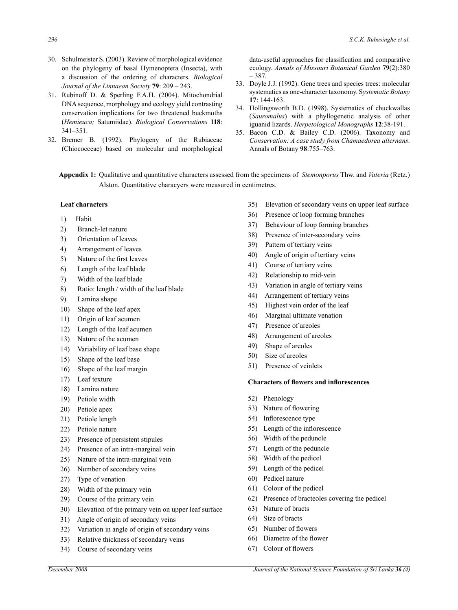- 30. Schulmeister S. (2003). Review of morphological evidence on the phylogeny of basal Hymenoptera (Insecta), with a discussion of the ordering of characters. *Biological Journal of the Linnaean Society* **79**: 209 – 243.
- 31. Rubinoff D. & Sperling F.A.H. (2004). Mitochondrial DNA sequence, morphology and ecology yield contrasting conservation implications for two threatened buckmoths (*Hemieuca;* Satumiidae). *Biological Conservations* **118**: 341–351.
- 32. Bremer B. (1992). Phylogeny of the Rubiaceae (Chiococceae) based on molecular and morphological

data-useful approaches for classification and comparative ecology. *Annals of Missouri Botanical Garden* **79**(2):380 – 387.

- 33. Doyle J.J. (1992). Gene trees and species trees: molecular systematics as one-character taxonomy. S*ystematic Botany* **17**: 144-163.
- 34. Hollingsworth B.D. (1998). Systematics of chuckwallas (*Sauromalus*) with a phyllogenetic analysis of other iguanid lizards. *Herpetological Monographs* **12**:38-191.
- 35. Bacon C.D. & Bailey C.D. (2006). Taxonomy and *Conservation: A case study from Chamaedorea alternans*. Annals of Botany **98**:755–763.

**Appendix 1:** Qualitative and quantitative characters assessed from the specimens of *Stemonporus* Thw. and *Vateria* (Retz.) Alston. Quantitative characyers were measured in centimetres.

# **Leaf characters**

- 1) Habit
- 2) Branch-let nature
- 3) Orientation of leaves
- 4) Arrangement of leaves
- 5) Nature of the first leaves
- 6) Length of the leaf blade
- 7) Width of the leaf blade
- 8) Ratio: length / width of the leaf blade
- 9) Lamina shape
- 10) Shape of the leaf apex
- 11) Origin of leaf acumen
- 12) Length of the leaf acumen
- 13) Nature of the acumen
- 14) Variability of leaf base shape
- 15) Shape of the leaf base
- 16) Shape of the leaf margin
- 17) Leaf texture
- 18) Lamina nature
- 19) Petiole width
- 20) Petiole apex
- 21) Petiole length
- 22) Petiole nature
- 23) Presence of persistent stipules
- 24) Presence of an intra-marginal vein
- 25) Nature of the intra-marginal vein
- 26) Number of secondary veins
- 27) Type of venation
- 28) Width of the primary vein
- 29) Course of the primary vein
- 30) Elevation of the primary vein on upper leaf surface
- 31) Angle of origin of secondary veins
- 32) Variation in angle of origin of secondary veins
- 33) Relative thickness of secondary veins
- 34) Course of secondary veins
- 35) Elevation of secondary veins on upper leaf surface
- 36) Presence of loop forming branches
- 37) Behaviour of loop forming branches
- 38) Presence of inter-secondary veins
- 39) Pattern of tertiary veins
- 40) Angle of origin of tertiary veins
- 41) Course of tertiary veins
- 42) Relationship to mid-vein
- 43) Variation in angle of tertiary veins
- 44) Arrangement of tertiary veins
- 45) Highest vein order of the leaf
- 46) Marginal ultimate venation
- 47) Presence of areoles
- 48) Arrangement of areoles
- 49) Shape of areoles
- 50) Size of areoles
- 51) Presence of veinlets

#### **Characters of flowers and inflorescences**

- 52) Phenology
- 53) Nature of flowering
- 54) Inflorescence type
- 55) Length of the inflorescence
- 56) Width of the peduncle
- 57) Length of the peduncle
- 58) Width of the pedicel
- 59) Length of the pedicel
- 60) Pedicel nature
- 61) Colour of the pedicel
- 62) Presence of bracteoles covering the pedicel
- 63) Nature of bracts
- 64) Size of bracts
- 65) Number of flowers
- 66) Diametre of the flower
- 67) Colour of flowers